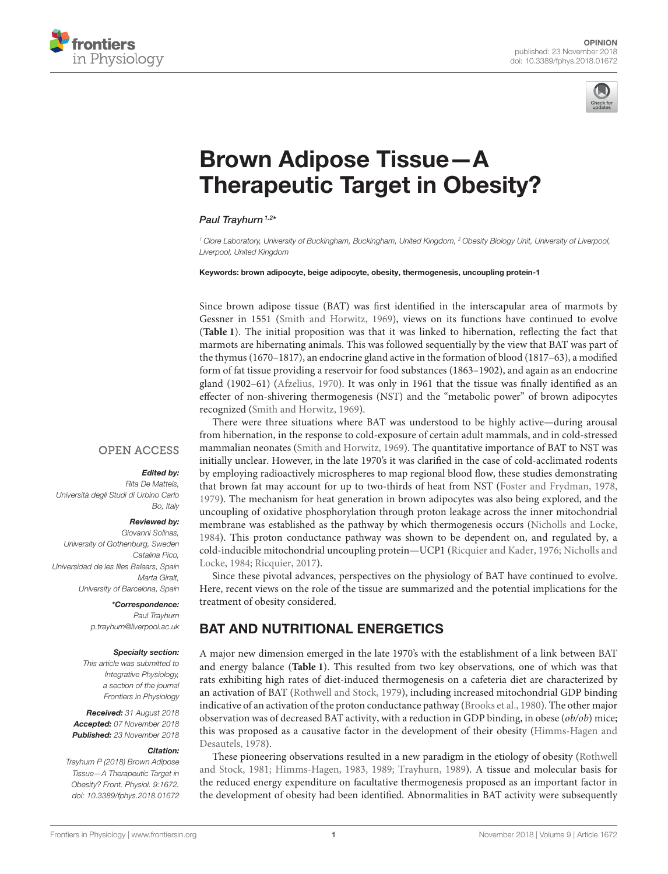



# Brown Adipose Tissue—A [Therapeutic Target in Obesity?](https://www.frontiersin.org/articles/10.3389/fphys.2018.01672/full)

#### [Paul Trayhurn](http://loop.frontiersin.org/people/29830/overview) 1,2\*

<sup>1</sup> Clore Laboratory, University of Buckingham, Buckingham, United Kingdom, <sup>2</sup> Obesity Biology Unit, University of Liverpool, Liverpool, United Kingdom

#### Keywords: brown adipocyte, beige adipocyte, obesity, thermogenesis, uncoupling protein-1

Since brown adipose tissue (BAT) was first identified in the interscapular area of marmots by Gessner in 1551 [\(Smith and Horwitz, 1969\)](#page-4-0), views on its functions have continued to evolve (**[Table 1](#page-1-0)**). The initial proposition was that it was linked to hibernation, reflecting the fact that marmots are hibernating animals. This was followed sequentially by the view that BAT was part of the thymus (1670–1817), an endocrine gland active in the formation of blood (1817–63), a modified form of fat tissue providing a reservoir for food substances (1863–1902), and again as an endocrine gland (1902–61) [\(Afzelius, 1970\)](#page-3-0). It was only in 1961 that the tissue was finally identified as an effecter of non-shivering thermogenesis (NST) and the "metabolic power" of brown adipocytes recognized [\(Smith and Horwitz, 1969\)](#page-4-0).

#### **OPEN ACCESS**

#### Edited by:

Rita De Matteis, Università degli Studi di Urbino Carlo Bo, Italy

#### Reviewed by:

Giovanni Solinas, University of Gothenburg, Sweden Catalina Pico, Universidad de les Illes Balears, Spain Marta Giralt, University of Barcelona, Spain

> \*Correspondence: Paul Trayhurn [p.trayhurn@liverpool.ac.uk](mailto:p.trayhurn@liverpool.ac.uk)

#### Specialty section:

This article was submitted to Integrative Physiology, a section of the journal Frontiers in Physiology

Received: 31 August 2018 Accepted: 07 November 2018 Published: 23 November 2018

#### Citation:

Trayhurn P (2018) Brown Adipose Tissue—A Therapeutic Target in Obesity? Front. Physiol. 9:1672. doi: [10.3389/fphys.2018.01672](https://doi.org/10.3389/fphys.2018.01672)

There were three situations where BAT was understood to be highly active—during arousal from hibernation, in the response to cold-exposure of certain adult mammals, and in cold-stressed mammalian neonates [\(Smith and Horwitz, 1969\)](#page-4-0). The quantitative importance of BAT to NST was initially unclear. However, in the late 1970's it was clarified in the case of cold-acclimated rodents by employing radioactively microspheres to map regional blood flow, these studies demonstrating that brown fat may account for up to two-thirds of heat from NST [\(Foster and Frydman, 1978,](#page-3-1) [1979\)](#page-3-2). The mechanism for heat generation in brown adipocytes was also being explored, and the uncoupling of oxidative phosphorylation through proton leakage across the inner mitochondrial membrane was established as the pathway by which thermogenesis occurs [\(Nicholls and Locke,](#page-3-3) [1984\)](#page-3-3). This proton conductance pathway was shown to be dependent on, and regulated by, a cold-inducible mitochondrial uncoupling protein—UCP1 [\(Ricquier and Kader, 1976;](#page-4-1) Nicholls and Locke, [1984;](#page-3-3) [Ricquier, 2017\)](#page-4-2).

Since these pivotal advances, perspectives on the physiology of BAT have continued to evolve. Here, recent views on the role of the tissue are summarized and the potential implications for the treatment of obesity considered.

### BAT AND NUTRITIONAL ENERGETICS

A major new dimension emerged in the late 1970's with the establishment of a link between BAT and energy balance (**[Table 1](#page-1-0)**). This resulted from two key observations, one of which was that rats exhibiting high rates of diet-induced thermogenesis on a cafeteria diet are characterized by an activation of BAT [\(Rothwell and Stock, 1979\)](#page-4-3), including increased mitochondrial GDP binding indicative of an activation of the proton conductance pathway [\(Brooks et al., 1980\)](#page-3-4). The other major observation was of decreased BAT activity, with a reduction in GDP binding, in obese  $(obj/ob)$  mice; this was proposed as a causative factor in the development of their obesity (Himms-Hagen and Desautels, [1978\)](#page-3-5).

These pioneering observations resulted in a new paradigm in the etiology of obesity (Rothwell and Stock, [1981;](#page-4-4) [Himms-Hagen, 1983,](#page-3-6) [1989;](#page-3-7) [Trayhurn, 1989\)](#page-4-5). A tissue and molecular basis for the reduced energy expenditure on facultative thermogenesis proposed as an important factor in the development of obesity had been identified. Abnormalities in BAT activity were subsequently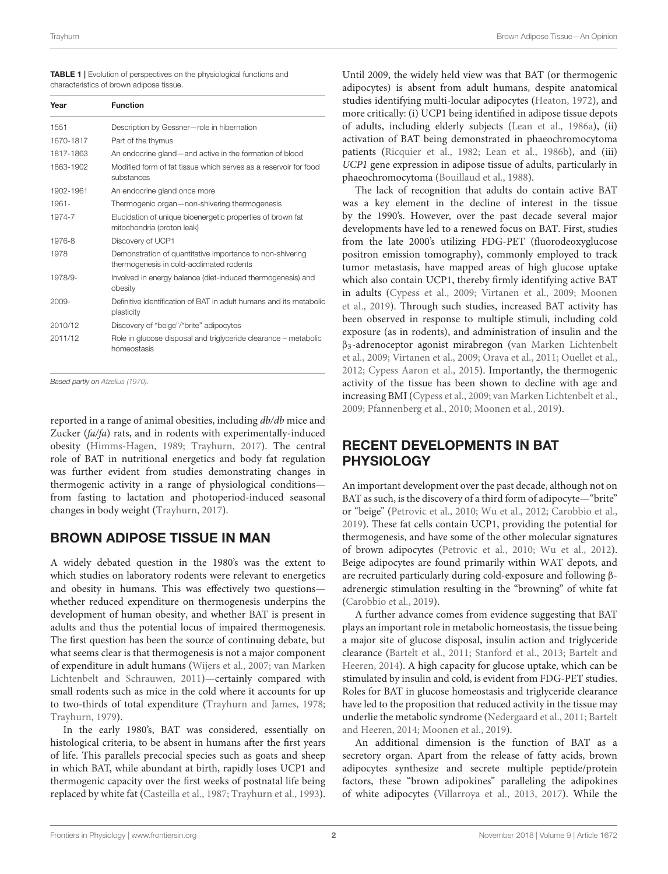<span id="page-1-0"></span>

| <b>TABLE 1</b>   Evolution of perspectives on the physiological functions and |
|-------------------------------------------------------------------------------|
| characteristics of brown adipose tissue.                                      |

| Year      | <b>Function</b>                                                                                       |
|-----------|-------------------------------------------------------------------------------------------------------|
| 1551      | Description by Gessner-role in hibernation                                                            |
| 1670-1817 | Part of the thymus                                                                                    |
| 1817-1863 | An endocrine gland—and active in the formation of blood                                               |
| 1863-1902 | Modified form of fat tissue which serves as a reservoir for food<br>substances                        |
| 1902-1961 | An endocrine gland once more                                                                          |
| 1961-     | Thermogenic organ - non-shivering thermogenesis                                                       |
| 1974-7    | Elucidation of unique bioenergetic properties of brown fat<br>mitochondria (proton leak)              |
| 1976-8    | Discovery of UCP1                                                                                     |
| 1978      | Demonstration of quantitative importance to non-shivering<br>thermogenesis in cold-acclimated rodents |
| 1978/9-   | Involved in energy balance (diet-induced thermogenesis) and<br>obesity                                |
| 2009-     | Definitive identification of BAT in adult humans and its metabolic<br>plasticity                      |
| 2010/12   | Discovery of "beige"/"brite" adipocytes                                                               |
| 2011/12   | Role in glucose disposal and triglyceride clearance - metabolic<br>homeostasis                        |

Based partly on [Afzelius \(1970\)](#page-3-0).

reported in a range of animal obesities, including db/db mice and Zucker (fa/fa) rats, and in rodents with experimentally-induced obesity [\(Himms-Hagen, 1989;](#page-3-7) [Trayhurn, 2017\)](#page-4-6). The central role of BAT in nutritional energetics and body fat regulation was further evident from studies demonstrating changes in thermogenic activity in a range of physiological conditions from fasting to lactation and photoperiod-induced seasonal changes in body weight [\(Trayhurn, 2017\)](#page-4-6).

# BROWN ADIPOSE TISSUE IN MAN

A widely debated question in the 1980's was the extent to which studies on laboratory rodents were relevant to energetics and obesity in humans. This was effectively two questions whether reduced expenditure on thermogenesis underpins the development of human obesity, and whether BAT is present in adults and thus the potential locus of impaired thermogenesis. The first question has been the source of continuing debate, but what seems clear is that thermogenesis is not a major component of expenditure in adult humans [\(Wijers et al., 2007;](#page-4-7) van Marken Lichtenbelt and Schrauwen, [2011\)](#page-4-8)—certainly compared with small rodents such as mice in the cold where it accounts for up to two-thirds of total expenditure [\(Trayhurn and James, 1978;](#page-4-9) [Trayhurn, 1979\)](#page-4-10).

In the early 1980's, BAT was considered, essentially on histological criteria, to be absent in humans after the first years of life. This parallels precocial species such as goats and sheep in which BAT, while abundant at birth, rapidly loses UCP1 and thermogenic capacity over the first weeks of postnatal life being replaced by white fat [\(Casteilla et al., 1987;](#page-3-8) [Trayhurn et al., 1993\)](#page-4-11). Until 2009, the widely held view was that BAT (or thermogenic adipocytes) is absent from adult humans, despite anatomical studies identifying multi-locular adipocytes [\(Heaton, 1972\)](#page-3-9), and more critically: (i) UCP1 being identified in adipose tissue depots of adults, including elderly subjects [\(Lean et al., 1986a\)](#page-3-10), (ii) activation of BAT being demonstrated in phaeochromocytoma patients [\(Ricquier et al., 1982;](#page-4-12) [Lean et al., 1986b\)](#page-3-11), and (iii) UCP1 gene expression in adipose tissue of adults, particularly in phaeochromocytoma [\(Bouillaud et al., 1988\)](#page-3-12).

The lack of recognition that adults do contain active BAT was a key element in the decline of interest in the tissue by the 1990's. However, over the past decade several major developments have led to a renewed focus on BAT. First, studies from the late 2000's utilizing FDG-PET (fluorodeoxyglucose positron emission tomography), commonly employed to track tumor metastasis, have mapped areas of high glucose uptake which also contain UCP1, thereby firmly identifying active BAT in adults [\(Cypess et al., 2009;](#page-3-13) [Virtanen et al., 2009;](#page-4-13) Moonen et al., [2019\)](#page-3-14). Through such studies, increased BAT activity has been observed in response to multiple stimuli, including cold exposure (as in rodents), and administration of insulin and the β3-adrenoceptor agonist mirabregon (van Marken Lichtenbelt et al., [2009;](#page-4-14) [Virtanen et al., 2009;](#page-4-13) [Orava et al., 2011;](#page-3-15) [Ouellet et al.,](#page-3-16) [2012;](#page-3-16) [Cypess Aaron et al., 2015\)](#page-3-17). Importantly, the thermogenic activity of the tissue has been shown to decline with age and increasing BMI [\(Cypess et al., 2009;](#page-3-13) [van Marken Lichtenbelt et al.,](#page-4-14) [2009;](#page-4-14) [Pfannenberg et al., 2010;](#page-3-18) [Moonen et al., 2019\)](#page-3-14).

# RECENT DEVELOPMENTS IN BAT PHYSIOLOGY

An important development over the past decade, although not on BAT as such, is the discovery of a third form of adipocyte—"brite" or "beige" [\(Petrovic et al., 2010;](#page-3-19) [Wu et al., 2012;](#page-4-15) [Carobbio et al.,](#page-3-20) [2019\)](#page-3-20). These fat cells contain UCP1, providing the potential for thermogenesis, and have some of the other molecular signatures of brown adipocytes [\(Petrovic et al., 2010;](#page-3-19) [Wu et al., 2012\)](#page-4-15). Beige adipocytes are found primarily within WAT depots, and are recruited particularly during cold-exposure and following βadrenergic stimulation resulting in the "browning" of white fat [\(Carobbio et al., 2019\)](#page-3-20).

A further advance comes from evidence suggesting that BAT plays an important role in metabolic homeostasis, the tissue being a major site of glucose disposal, insulin action and triglyceride clearance [\(Bartelt et al., 2011;](#page-3-21) [Stanford et al., 2013;](#page-4-16) Bartelt and Heeren, [2014\)](#page-3-22). A high capacity for glucose uptake, which can be stimulated by insulin and cold, is evident from FDG-PET studies. Roles for BAT in glucose homeostasis and triglyceride clearance have led to the proposition that reduced activity in the tissue may underlie the metabolic syndrome [\(Nedergaard et al., 2011;](#page-3-23) Bartelt and Heeren, [2014;](#page-3-22) [Moonen et al., 2019\)](#page-3-14).

An additional dimension is the function of BAT as a secretory organ. Apart from the release of fatty acids, brown adipocytes synthesize and secrete multiple peptide/protein factors, these "brown adipokines" paralleling the adipokines of white adipocytes [\(Villarroya et al., 2013,](#page-4-17) [2017\)](#page-4-18). While the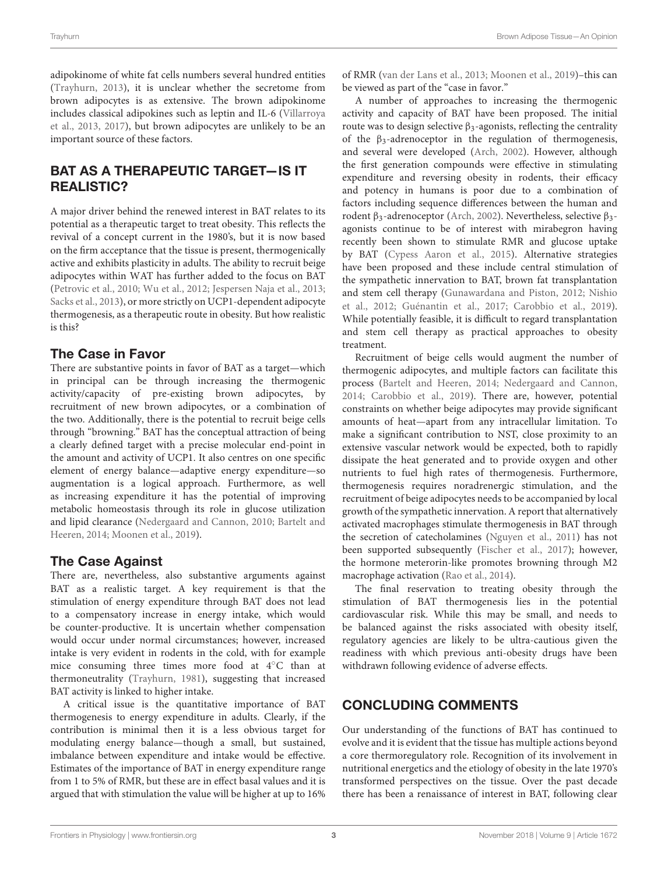adipokinome of white fat cells numbers several hundred entities [\(Trayhurn, 2013\)](#page-4-19), it is unclear whether the secretome from brown adipocytes is as extensive. The brown adipokinome includes classical adipokines such as leptin and IL-6 (Villarroya et al., [2013,](#page-4-17) [2017\)](#page-4-18), but brown adipocytes are unlikely to be an important source of these factors.

# BAT AS A THERAPEUTIC TARGET—IS IT REALISTIC?

A major driver behind the renewed interest in BAT relates to its potential as a therapeutic target to treat obesity. This reflects the revival of a concept current in the 1980's, but it is now based on the firm acceptance that the tissue is present, thermogenically active and exhibits plasticity in adults. The ability to recruit beige adipocytes within WAT has further added to the focus on BAT [\(Petrovic et al., 2010;](#page-3-19) [Wu et al., 2012;](#page-4-15) [Jespersen Naja et al., 2013;](#page-3-24) [Sacks et al., 2013\)](#page-4-20), or more strictly on UCP1-dependent adipocyte thermogenesis, as a therapeutic route in obesity. But how realistic is this?

# The Case in Favor

There are substantive points in favor of BAT as a target—which in principal can be through increasing the thermogenic activity/capacity of pre-existing brown adipocytes, by recruitment of new brown adipocytes, or a combination of the two. Additionally, there is the potential to recruit beige cells through "browning." BAT has the conceptual attraction of being a clearly defined target with a precise molecular end-point in the amount and activity of UCP1. It also centres on one specific element of energy balance—adaptive energy expenditure—so augmentation is a logical approach. Furthermore, as well as increasing expenditure it has the potential of improving metabolic homeostasis through its role in glucose utilization and lipid clearance [\(Nedergaard and Cannon, 2010;](#page-3-25) Bartelt and Heeren, [2014;](#page-3-22) [Moonen et al., 2019\)](#page-3-14).

### The Case Against

There are, nevertheless, also substantive arguments against BAT as a realistic target. A key requirement is that the stimulation of energy expenditure through BAT does not lead to a compensatory increase in energy intake, which would be counter-productive. It is uncertain whether compensation would occur under normal circumstances; however, increased intake is very evident in rodents in the cold, with for example mice consuming three times more food at 4◦C than at thermoneutrality [\(Trayhurn, 1981\)](#page-4-21), suggesting that increased BAT activity is linked to higher intake.

A critical issue is the quantitative importance of BAT thermogenesis to energy expenditure in adults. Clearly, if the contribution is minimal then it is a less obvious target for modulating energy balance—though a small, but sustained, imbalance between expenditure and intake would be effective. Estimates of the importance of BAT in energy expenditure range from 1 to 5% of RMR, but these are in effect basal values and it is argued that with stimulation the value will be higher at up to 16% of RMR [\(van der Lans et al., 2013;](#page-4-22) [Moonen et al., 2019\)](#page-3-14)–this can be viewed as part of the "case in favor."

A number of approaches to increasing the thermogenic activity and capacity of BAT have been proposed. The initial route was to design selective  $β_3$ -agonists, reflecting the centrality of the  $\beta_3$ -adrenoceptor in the regulation of thermogenesis, and several were developed [\(Arch, 2002\)](#page-3-26). However, although the first generation compounds were effective in stimulating expenditure and reversing obesity in rodents, their efficacy and potency in humans is poor due to a combination of factors including sequence differences between the human and rodent β3-adrenoceptor [\(Arch, 2002\)](#page-3-26). Nevertheless, selective β3 agonists continue to be of interest with mirabegron having recently been shown to stimulate RMR and glucose uptake by BAT [\(Cypess Aaron et al., 2015\)](#page-3-17). Alternative strategies have been proposed and these include central stimulation of the sympathetic innervation to BAT, brown fat transplantation and stem cell therapy [\(Gunawardana and Piston, 2012;](#page-3-27) Nishio et al., [2012;](#page-3-28) [Guénantin et al., 2017;](#page-3-29) [Carobbio et al., 2019\)](#page-3-20). While potentially feasible, it is difficult to regard transplantation and stem cell therapy as practical approaches to obesity treatment.

Recruitment of beige cells would augment the number of thermogenic adipocytes, and multiple factors can facilitate this process [\(Bartelt and Heeren, 2014;](#page-3-22) [Nedergaard and Cannon,](#page-3-30) [2014;](#page-3-30) [Carobbio et al., 2019\)](#page-3-20). There are, however, potential constraints on whether beige adipocytes may provide significant amounts of heat—apart from any intracellular limitation. To make a significant contribution to NST, close proximity to an extensive vascular network would be expected, both to rapidly dissipate the heat generated and to provide oxygen and other nutrients to fuel high rates of thermogenesis. Furthermore, thermogenesis requires noradrenergic stimulation, and the recruitment of beige adipocytes needs to be accompanied by local growth of the sympathetic innervation. A report that alternatively activated macrophages stimulate thermogenesis in BAT through the secretion of catecholamines [\(Nguyen et al., 2011\)](#page-3-31) has not been supported subsequently [\(Fischer et al., 2017\)](#page-3-32); however, the hormone meterorin-like promotes browning through M2 macrophage activation [\(Rao et al., 2014\)](#page-4-23).

The final reservation to treating obesity through the stimulation of BAT thermogenesis lies in the potential cardiovascular risk. While this may be small, and needs to be balanced against the risks associated with obesity itself, regulatory agencies are likely to be ultra-cautious given the readiness with which previous anti-obesity drugs have been withdrawn following evidence of adverse effects.

# CONCLUDING COMMENTS

Our understanding of the functions of BAT has continued to evolve and it is evident that the tissue has multiple actions beyond a core thermoregulatory role. Recognition of its involvement in nutritional energetics and the etiology of obesity in the late 1970's transformed perspectives on the tissue. Over the past decade there has been a renaissance of interest in BAT, following clear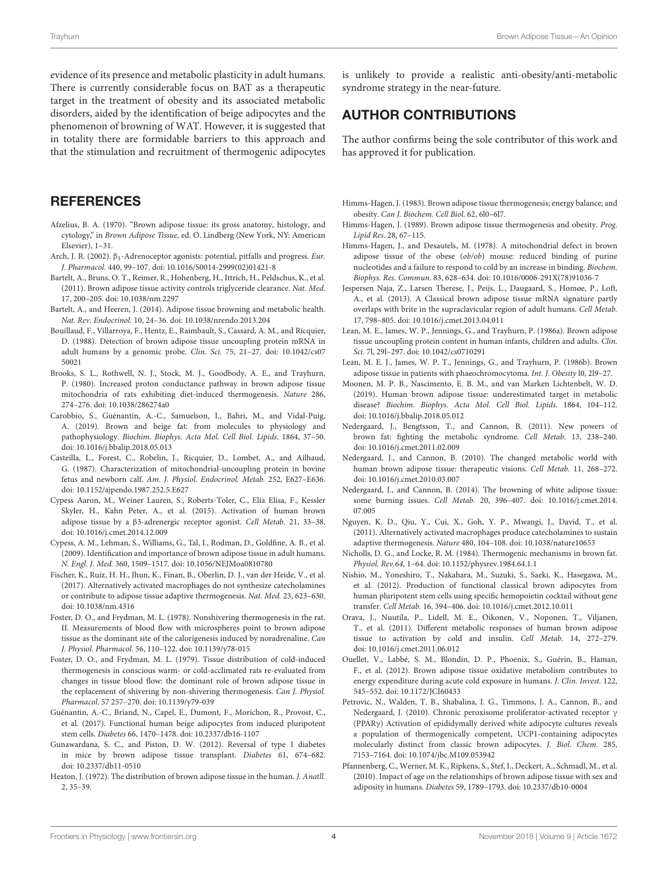evidence of its presence and metabolic plasticity in adult humans. There is currently considerable focus on BAT as a therapeutic target in the treatment of obesity and its associated metabolic disorders, aided by the identification of beige adipocytes and the phenomenon of browning of WAT. However, it is suggested that in totality there are formidable barriers to this approach and that the stimulation and recruitment of thermogenic adipocytes

### **REFERENCES**

- <span id="page-3-0"></span>Afzelius, B. A. (1970). "Brown adipose tissue: its gross anatomy, histology, and cytology," in Brown Adipose Tissue, ed. O. Lindberg (New York, NY: American Elsevier), 1–31.
- <span id="page-3-26"></span>Arch, J. R. (2002). β3-Adrenoceptor agonists: potential, pitfalls and progress. Eur. J. Pharmacol. 440, 99–107. doi: [10.1016/S0014-2999\(02\)01421-8](https://doi.org/10.1016/S0014-2999(02)01421-8)
- <span id="page-3-21"></span>Bartelt, A., Bruns, O. T., Reimer, R., Hohenberg, H., Ittrich, H., Peldschus, K., et al. (2011). Brown adipose tissue activity controls triglyceride clearance. Nat. Med. 17, 200–205. doi: [10.1038/nm.2297](https://doi.org/10.1038/nm.2297)
- <span id="page-3-22"></span>Bartelt, A., and Heeren, J. (2014). Adipose tissue browning and metabolic health. Nat. Rev. Endocrinol. 10, 24–36. doi: [10.1038/nrendo.2013.204](https://doi.org/10.1038/nrendo.2013.204)
- <span id="page-3-12"></span>Bouillaud, F., Villarroya, F., Hentz, E., Raimbault, S., Cassard, A. M., and Ricquier, D. (1988). Detection of brown adipose tissue uncoupling protein mRNA in [adult humans by a genomic probe.](https://doi.org/10.1042/cs0750021) Clin. Sci. 75, 21–27. doi: 10.1042/cs07 50021
- <span id="page-3-4"></span>Brooks, S. L., Rothwell, N. J., Stock, M. J., Goodbody, A. E., and Trayhurn, P. (1980). Increased proton conductance pathway in brown adipose tissue mitochondria of rats exhibiting diet-induced thermogenesis. Nature 286, 274–276. doi: [10.1038/286274a0](https://doi.org/10.1038/286274a0)
- <span id="page-3-20"></span>Carobbio, S., Guénantin, A.-C., Samuelson, I., Bahri, M., and Vidal-Puig, A. (2019). Brown and beige fat: from molecules to physiology and pathophysiology. Biochim. Biophys. Acta Mol. Cell Biol. Lipids. 1864, 37–50. doi: [10.1016/j.bbalip.2018.05.013](https://doi.org/10.1016/j.bbalip.2018.05.013)
- <span id="page-3-8"></span>Casteilla, L., Forest, C., Robelin, J., Ricquier, D., Lombet, A., and Ailhaud, G. (1987). Characterization of mitochondrial-uncoupling protein in bovine fetus and newborn calf. Am. J. Physiol. Endocrinol. Metab. 252, E627–E636. doi: [10.1152/ajpendo.1987.252.5.E627](https://doi.org/10.1152/ajpendo.1987.252.5.E627)
- <span id="page-3-17"></span>Cypess Aaron, M., Weiner Lauren, S., Roberts-Toler, C., Elía Elisa, F., Kessler Skyler, H., Kahn Peter, A., et al. (2015). Activation of human brown adipose tissue by a β3-adrenergic receptor agonist. Cell Metab. 21, 33–38. doi: [10.1016/j.cmet.2014.12.009](https://doi.org/10.1016/j.cmet.2014.12.009)
- <span id="page-3-13"></span>Cypess, A. M., Lehman, S., Williams, G., Tal, I., Rodman, D., Goldfine, A. B., et al. (2009). Identification and importance of brown adipose tissue in adult humans. N. Engl. J. Med. 360, 1509–1517. doi: [10.1056/NEJMoa0810780](https://doi.org/10.1056/NEJMoa0810780)
- <span id="page-3-32"></span>Fischer, K., Ruiz, H. H., Jhun, K., Finan, B., Oberlin, D. J., van der Heide, V., et al. (2017). Alternatively activated macrophages do not synthesize catecholamines or contribute to adipose tissue adaptive thermogenesis. Nat. Med. 23, 623–630. doi: [10.1038/nm.4316](https://doi.org/10.1038/nm.4316)
- <span id="page-3-1"></span>Foster, D. O., and Frydman, M. L. (1978). Nonshivering thermogenesis in the rat. II. Measurements of blood flow with microspheres point to brown adipose tissue as the dominant site of the calorigenesis induced by noradrenaline. Can J. Physiol. Pharmacol. 56, 110–122. doi: [10.1139/y78-015](https://doi.org/10.1139/y78-015)
- <span id="page-3-2"></span>Foster, D. O., and Frydman, M. L. (1979). Tissue distribution of cold-induced thermogenesis in conscious warm- or cold-acclimated rats re-evaluated from changes in tissue blood flow: the dominant role of brown adipose tissue in the replacement of shivering by non-shivering thermogenesis. Can J. Physiol. Pharmacol. 57 257–270. doi: [10.1139/y79-039](https://doi.org/10.1139/y79-039)
- <span id="page-3-29"></span>Guénantin, A.-C., Briand, N., Capel, E., Dumont, F., Morichon, R., Provost, C., et al. (2017). Functional human beige adipocytes from induced pluripotent stem cells. Diabetes 66, 1470–1478. doi: [10.2337/db16-1107](https://doi.org/10.2337/db16-1107)
- <span id="page-3-27"></span>Gunawardana, S. C., and Piston, D. W. (2012). Reversal of type 1 diabetes in mice by brown adipose tissue transplant. Diabetes 61, 674–682. doi: [10.2337/db11-0510](https://doi.org/10.2337/db11-0510)
- <span id="page-3-9"></span>Heaton, J. (1972). The distribution of brown adipose tissue in the human. J. Anatll. 2, 35–39.

is unlikely to provide a realistic anti-obesity/anti-metabolic syndrome strategy in the near-future.

### AUTHOR CONTRIBUTIONS

The author confirms being the sole contributor of this work and has approved it for publication.

- <span id="page-3-6"></span>Himms-Hagen, J. (1983). Brown adipose tissue thermogenesis; energy balance; and obesity. Can J. Biochem. Cell Biol. 62, 6l0–6l7.
- <span id="page-3-7"></span>Himms-Hagen, J. (1989). Brown adipose tissue thermogenesis and obesity. Prog. Lipid Res. 28, 67–115.
- <span id="page-3-5"></span>Himms-Hagen, J., and Desautels, M. (1978). A mitochondrial defect in brown adipose tissue of the obese (ob/ob) mouse: reduced binding of purine nucleotides and a failure to respond to cold by an increase in binding. Biochem. Biophys. Res. Commun. 83, 628–634. doi: [10.1016/0006-291X\(78\)91036-7](https://doi.org/10.1016/0006-291X(78)91036-7)
- <span id="page-3-24"></span>Jespersen Naja, Z., Larsen Therese, J., Peijs, L., Daugaard, S., Homøe, P., Loft, A., et al. (2013). A Classical brown adipose tissue mRNA signature partly overlaps with brite in the supraclavicular region of adult humans. Cell Metab. 17, 798–805. doi: [10.1016/j.cmet.2013.04.011](https://doi.org/10.1016/j.cmet.2013.04.011)
- <span id="page-3-10"></span>Lean, M. E., James, W. P., Jennings, G., and Trayhurn, P. (1986a). Brown adipose tissue uncoupling protein content in human infants, children and adults. Clin. Sci. 7l, 29l–297. doi: [10.1042/cs0710291](https://doi.org/10.1042/cs0710291)
- <span id="page-3-11"></span>Lean, M. E. J., James, W. P. T., Jennings, G., and Trayhurn, P. (1986b). Brown adipose tissue in patients with phaeochromocytoma. Int. J. Obesity l0, 2l9–27.
- <span id="page-3-14"></span>Moonen, M. P. B., Nascimento, E. B. M., and van Marken Lichtenbelt, W. D. (2019). Human brown adipose tissue: underestimated target in metabolic disease? Biochim. Biophys. Acta Mol. Cell Biol. Lipids. 1864, 104–112. doi: [10.1016/j.bbalip.2018.05.012](https://doi.org/10.1016/j.bbalip.2018.05.012)
- <span id="page-3-23"></span>Nedergaard, J., Bengtsson, T., and Cannon, B. (2011). New powers of brown fat: fighting the metabolic syndrome. Cell Metab. 13, 238–240. doi: [10.1016/j.cmet.2011.02.009](https://doi.org/10.1016/j.cmet.2011.02.009)
- <span id="page-3-25"></span>Nedergaard, J., and Cannon, B. (2010). The changed metabolic world with human brown adipose tissue: therapeutic visions. Cell Metab. 11, 268–272. doi: [10.1016/j.cmet.2010.03.007](https://doi.org/10.1016/j.cmet.2010.03.007)
- <span id="page-3-30"></span>Nedergaard, J., and Cannon, B. (2014). The browning of white adipose tissue: some burning issues. Cell Metab. [20, 396–407. doi: 10.1016/j.cmet.2014.](https://doi.org/10.1016/j.cmet.2014.07.005) 07.005
- <span id="page-3-31"></span>Nguyen, K. D., Qiu, Y., Cui, X., Goh, Y. P., Mwangi, J., David, T., et al. (2011). Alternatively activated macrophages produce catecholamines to sustain adaptive thermogenesis. Nature 480, 104–108. doi: [10.1038/nature10653](https://doi.org/10.1038/nature10653)
- <span id="page-3-3"></span>Nicholls, D. G., and Locke, R. M. (1984). Thermogenic mechanisms in brown fat. Physiol. Rev.64, 1–64. doi: [10.1152/physrev.1984.64.1.1](https://doi.org/10.1152/physrev.1984.64.1.1)
- <span id="page-3-28"></span>Nishio, M., Yoneshiro, T., Nakahara, M., Suzuki, S., Saeki, K., Hasegawa, M., et al. (2012). Production of functional classical brown adipocytes from human pluripotent stem cells using specific hemopoietin cocktail without gene transfer. Cell Metab. 16, 394–406. doi: [10.1016/j.cmet.2012.10.011](https://doi.org/10.1016/j.cmet.2012.10.011)
- <span id="page-3-15"></span>Orava, J., Nuutila, P., Lidell, M. E., Oikonen, V., Noponen, T., Viljanen, T., et al. (2011). Different metabolic responses of human brown adipose tissue to activation by cold and insulin. Cell Metab. 14, 272–279. doi: [10.1016/j.cmet.2011.06.012](https://doi.org/10.1016/j.cmet.2011.06.012)
- <span id="page-3-16"></span>Ouellet, V., Labbé, S. M., Blondin, D. P., Phoenix, S., Guérin, B., Haman, F., et al. (2012). Brown adipose tissue oxidative metabolism contributes to energy expenditure during acute cold exposure in humans. J. Clin. Invest. 122, 545–552. doi: [10.1172/JCI60433](https://doi.org/10.1172/JCI60433)
- <span id="page-3-19"></span>Petrovic, N., Walden, T. B., Shabalina, I. G., Timmons, J. A., Cannon, B., and Nedergaard, J. (2010). Chronic peroxisome proliferator-activated receptor γ (PPARγ) Activation of epididymally derived white adipocyte cultures reveals a population of thermogenically competent, UCP1-containing adipocytes molecularly distinct from classic brown adipocytes. J. Biol. Chem. 285, 7153–7164. doi: [10.1074/jbc.M109.053942](https://doi.org/10.1074/jbc.M109.053942)
- <span id="page-3-18"></span>Pfannenberg, C., Werner, M. K., Ripkens, S., Stef, I., Deckert, A., Schmadl, M., et al. (2010). Impact of age on the relationships of brown adipose tissue with sex and adiposity in humans. Diabetes 59, 1789–1793. doi: [10.2337/db10-0004](https://doi.org/10.2337/db10-0004)